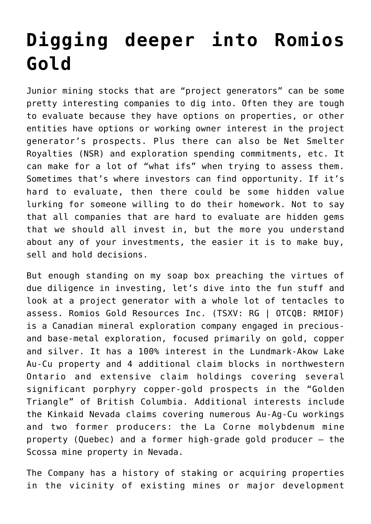## **[Digging deeper into Romios](https://investorintel.com/markets/gold-silver-base-metals/gold-precious-metals-intel/digging-deeper-into-romios-gold/) [Gold](https://investorintel.com/markets/gold-silver-base-metals/gold-precious-metals-intel/digging-deeper-into-romios-gold/)**

Junior mining stocks that are "project generators" can be some pretty interesting companies to dig into. Often they are tough to evaluate because they have options on properties, or other entities have options or working owner interest in the project generator's prospects. Plus there can also be Net Smelter Royalties (NSR) and exploration spending commitments, etc. It can make for a lot of "what ifs" when trying to assess them. Sometimes that's where investors can find opportunity. If it's hard to evaluate, then there could be some hidden value lurking for someone willing to do their homework. Not to say that all companies that are hard to evaluate are hidden gems that we should all invest in, but the more you understand about any of your investments, the easier it is to make buy, sell and hold decisions.

But enough standing on my soap box preaching the virtues of due diligence in investing, let's dive into the fun stuff and look at a project generator with a whole lot of tentacles to assess. [Romios Gold Resources Inc.](https://romios.com/) (TSXV: RG | OTCQB: RMIOF) is a Canadian mineral exploration company engaged in preciousand base-metal exploration, focused primarily on gold, copper and silver. It has a 100% interest in the [Lundmark-Akow Lake](https://romios.com/projects/ontario-projects/lundmark/overview/) Au-Cu property and 4 additional claim blocks in northwestern Ontario and extensive claim holdings covering several significant porphyry copper-gold prospects in the "[Golden](https://romios.com/projects/bc-projects/golden-triangle-overview-1/overview/) [Triangle](https://romios.com/projects/bc-projects/golden-triangle-overview-1/overview/)" of British Columbia. Additional interests include the Kinkaid Nevada claims covering numerous Au-Ag-Cu workings and two former producers: the [La Corne molybdenum mine](https://romios.com/projects/quebec-projects/la-corne/overview/) property (Quebec) and a former high-grade gold producer – the [Scossa mine](https://romios.com/projects/nevada-projects/overview/) property in Nevada.

The Company has a history of staking or acquiring properties in the vicinity of existing mines or major development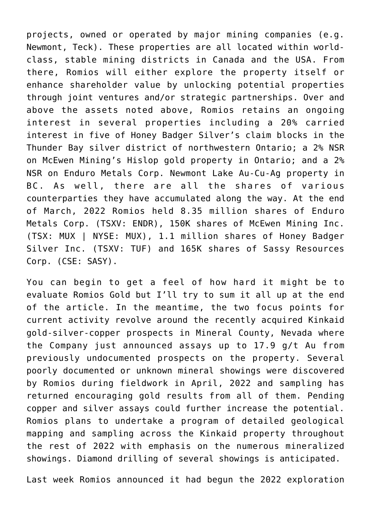projects, owned or operated by major mining companies (e.g. Newmont, Teck). These properties are all located within worldclass, stable mining districts in Canada and the USA. From there, Romios will either explore the property itself or enhance shareholder value by unlocking potential properties through joint ventures and/or strategic partnerships. Over and above the assets noted above, Romios retains an ongoing interest in several properties including a 20% carried interest in five of Honey Badger Silver's claim blocks in the Thunder Bay silver district of northwestern Ontario; a 2% NSR on McEwen Mining's Hislop gold property in Ontario; and a 2% NSR on Enduro Metals Corp. Newmont Lake Au-Cu-Ag property in BC. As well, there are all the shares of various counterparties they have accumulated along the way. At the end of March, 2022 Romios held 8.35 million shares of Enduro Metals Corp. (TSXV: ENDR), 150K shares of McEwen Mining Inc. (TSX: MUX | NYSE: MUX), 1.1 million shares of Honey Badger Silver Inc. (TSXV: TUF) and 165K shares of Sassy Resources Corp. (CSE: SASY).

You can begin to get a feel of how hard it might be to evaluate Romios Gold but I'll try to sum it all up at the end of the article. In the meantime, the two focus points for current activity revolve around the [recently acquired](https://investorintel.com/markets/gold-silver-base-metals/gold-precious-metals-news/romios-acquires-significant-gold-silver-copper-prospects-in-nevada/) Kinkaid gold-silver-copper prospects in Mineral County, Nevada where the Company just announced [assays up to 17.9 g/t Au](https://investorintel.com/markets/gold-silver-base-metals/gold-precious-metals-news/romios-gold-reports-high-grade-assays-up-to-17-9-g-t-au-from-previously-undocumented-prospects-on-the-kinkaid-project-nevada/) from previously undocumented prospects on the property. Several poorly documented or unknown mineral showings were discovered by Romios during fieldwork in April, 2022 and sampling has returned encouraging gold results from all of them. Pending copper and silver assays could further increase the potential. Romios plans to undertake a program of detailed geological mapping and sampling across the Kinkaid property throughout the rest of 2022 with emphasis on the numerous mineralized showings. Diamond drilling of several showings is anticipated.

Last week Romios announced it had begun the [2022 exploration](https://investorintel.com/markets/gold-silver-base-metals/gold-precious-metals-news/romios-gold-begins-field-work-on-3-projects-near-newmonts-musselwhite-gold-mine-nw-ontario/)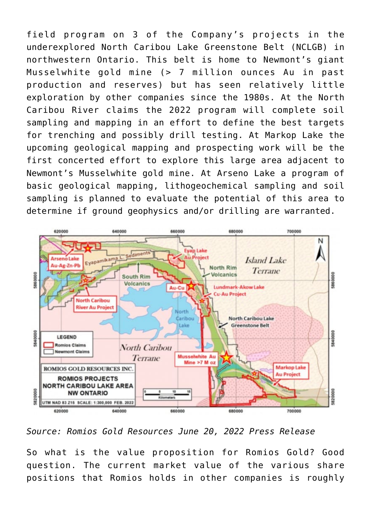[field program](https://investorintel.com/markets/gold-silver-base-metals/gold-precious-metals-news/romios-gold-begins-field-work-on-3-projects-near-newmonts-musselwhite-gold-mine-nw-ontario/) on 3 of the Company's projects in the underexplored North Caribou Lake Greenstone Belt (NCLGB) in northwestern Ontario. This belt is home to Newmont's giant Musselwhite gold mine (> 7 million ounces Au in past production and reserves) but has seen relatively little exploration by other companies since the 1980s. At the North Caribou River claims the 2022 program will complete soil sampling and mapping in an effort to define the best targets for trenching and possibly drill testing. At Markop Lake the upcoming geological mapping and prospecting work will be the first concerted effort to explore this large area adjacent to Newmont's Musselwhite gold mine. At Arseno Lake a program of basic geological mapping, lithogeochemical sampling and soil sampling is planned to evaluate the potential of this area to determine if ground geophysics and/or drilling are warranted.



*Source: Romios Gold Resources [June 20, 2022 Press Release](https://romios.com/press-releases/romios-gold-begins-field-work-on-3-projects-near-newmonts-musselwhite-gold-mine-nw-ontario/)*

So what is the value proposition for Romios Gold? Good question. The current market value of the various share positions that Romios holds in other companies is roughly